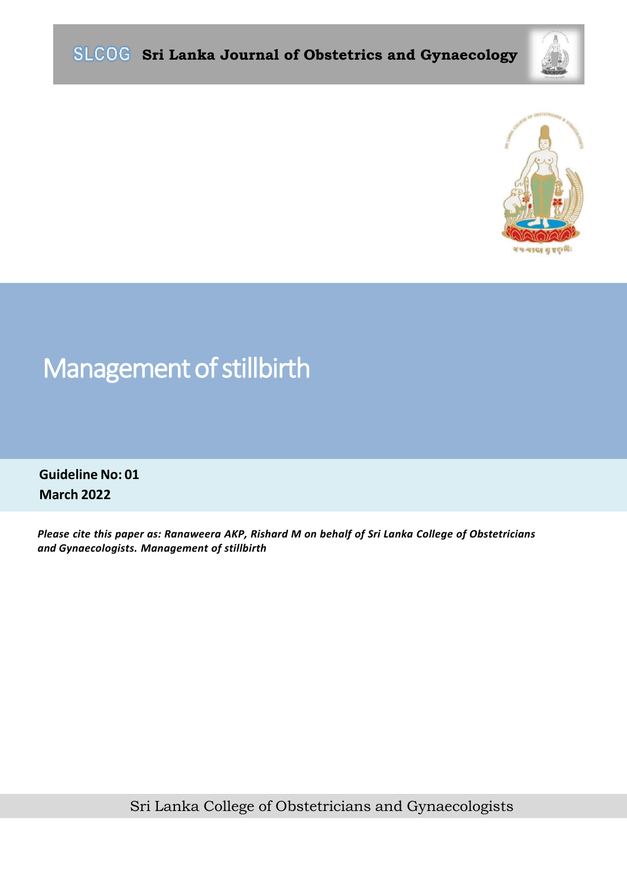

# Management of stillbirth

**Guideline No: 01 March 2022**

*Please cite this paper as: Ranaweera AKP, Rishard M on behalf of Sri Lanka College of Obstetricians and Gynaecologists. Management of stillbirth*

Sri Lanka College of Obstetricians and Gynaecologists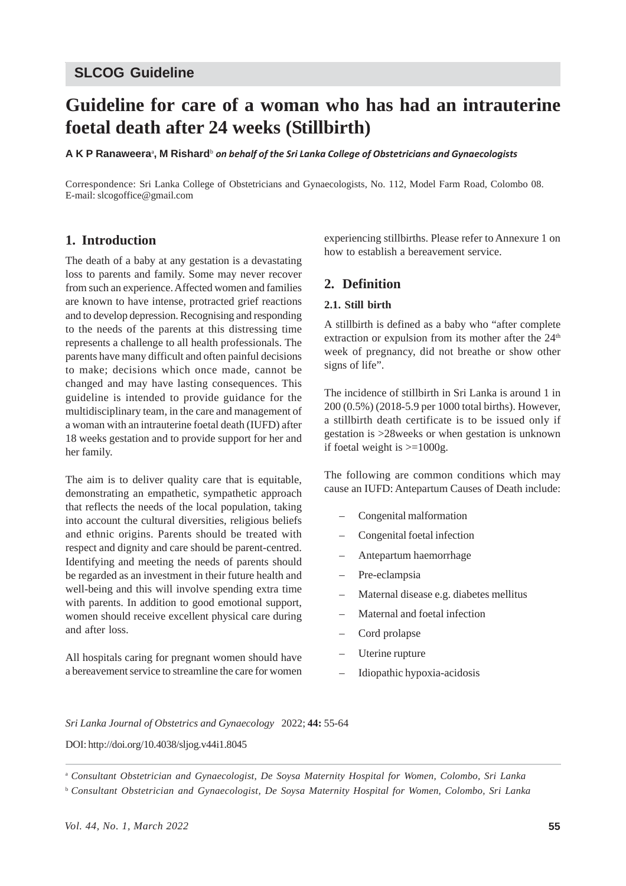## **Guideline for care of a woman who has had an intrauterine foetal death after 24 weeks (Stillbirth)**

**A K P Ranaweera**<sup>a</sup> **, M Rishard**<sup>b</sup> *on behalf of the Sri Lanka College of Obstetricians and Gynaecologists*

Correspondence: Sri Lanka College of Obstetricians and Gynaecologists, No. 112, Model Farm Road, Colombo 08. E-mail: slcogoffice@gmail.com

#### **1. Introduction**

The death of a baby at any gestation is a devastating loss to parents and family. Some may never recover from such an experience. Affected women and families are known to have intense, protracted grief reactions and to develop depression. Recognising and responding to the needs of the parents at this distressing time represents a challenge to all health professionals. The parents have many difficult and often painful decisions to make; decisions which once made, cannot be changed and may have lasting consequences. This guideline is intended to provide guidance for the multidisciplinary team, in the care and management of a woman with an intrauterine foetal death (IUFD) after 18 weeks gestation and to provide support for her and her family.

The aim is to deliver quality care that is equitable, demonstrating an empathetic, sympathetic approach that reflects the needs of the local population, taking into account the cultural diversities, religious beliefs and ethnic origins. Parents should be treated with respect and dignity and care should be parent-centred. Identifying and meeting the needs of parents should be regarded as an investment in their future health and well-being and this will involve spending extra time with parents. In addition to good emotional support, women should receive excellent physical care during and after loss.

All hospitals caring for pregnant women should have a bereavement service to streamline the care for women experiencing stillbirths. Please refer to Annexure 1 on how to establish a bereavement service.

## **2. Definition**

#### **2.1. Still birth**

A stillbirth is defined as a baby who "after complete extraction or expulsion from its mother after the 24<sup>th</sup> week of pregnancy, did not breathe or show other signs of life".

The incidence of stillbirth in Sri Lanka is around 1 in 200 (0.5%) (2018-5.9 per 1000 total births). However, a stillbirth death certificate is to be issued only if gestation is >28weeks or when gestation is unknown if foetal weight is  $>=1000g$ .

The following are common conditions which may cause an IUFD: Antepartum Causes of Death include:

- Congenital malformation
- Congenital foetal infection
- Antepartum haemorrhage
- Pre-eclampsia
- Maternal disease e.g. diabetes mellitus
- Maternal and foetal infection
- Cord prolapse
- Uterine rupture
- Idiopathic hypoxia-acidosis

*Sri Lanka Journal of Obstetrics and Gynaecology* 2022; **44:** 55-64

DOI: http://doi.org/10.4038/sljog.v44i1.8045

<sup>a</sup> *Consultant Obstetrician and Gynaecologist, De Soysa Maternity Hospital for Women, Colombo, Sri Lanka*

<sup>b</sup> *Consultant Obstetrician and Gynaecologist, De Soysa Maternity Hospital for Women, Colombo, Sri Lanka*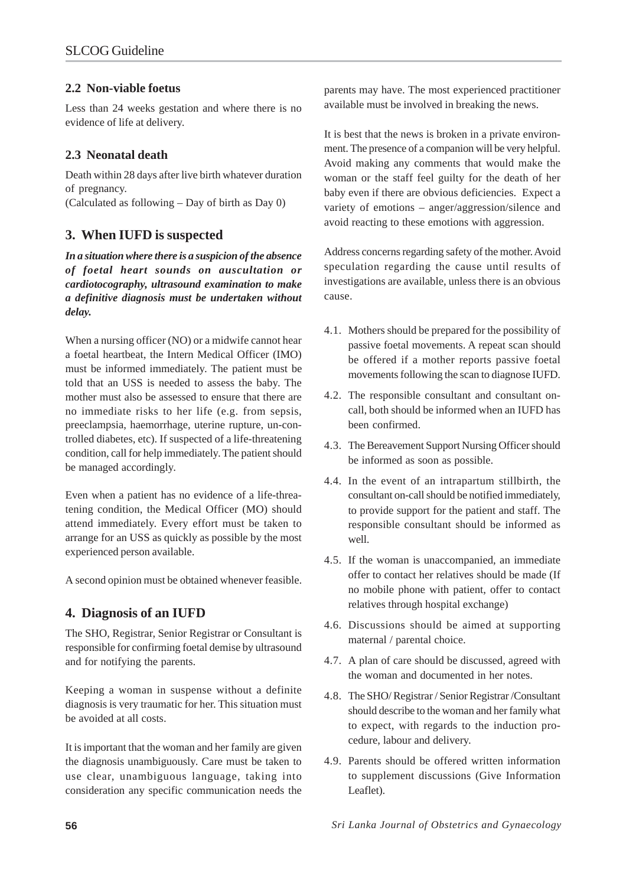## **2.2 Non-viable foetus**

Less than 24 weeks gestation and where there is no evidence of life at delivery.

## **2.3 Neonatal death**

Death within 28 days after live birth whatever duration of pregnancy. (Calculated as following – Day of birth as Day 0)

## **3. When IUFD is suspected**

*In a situation where there is a suspicion of the absence of foetal heart sounds on auscultation or cardiotocography, ultrasound examination to make a definitive diagnosis must be undertaken without delay.*

When a nursing officer (NO) or a midwife cannot hear a foetal heartbeat, the Intern Medical Officer (IMO) must be informed immediately. The patient must be told that an USS is needed to assess the baby. The mother must also be assessed to ensure that there are no immediate risks to her life (e.g. from sepsis, preeclampsia, haemorrhage, uterine rupture, un-controlled diabetes, etc). If suspected of a life-threatening condition, call for help immediately. The patient should be managed accordingly.

Even when a patient has no evidence of a life-threatening condition, the Medical Officer (MO) should attend immediately. Every effort must be taken to arrange for an USS as quickly as possible by the most experienced person available.

A second opinion must be obtained whenever feasible.

## **4. Diagnosis of an IUFD**

The SHO, Registrar, Senior Registrar or Consultant is responsible for confirming foetal demise by ultrasound and for notifying the parents.

Keeping a woman in suspense without a definite diagnosis is very traumatic for her. This situation must be avoided at all costs.

It is important that the woman and her family are given the diagnosis unambiguously. Care must be taken to use clear, unambiguous language, taking into consideration any specific communication needs the parents may have. The most experienced practitioner available must be involved in breaking the news.

It is best that the news is broken in a private environment. The presence of a companion will be very helpful. Avoid making any comments that would make the woman or the staff feel guilty for the death of her baby even if there are obvious deficiencies. Expect a variety of emotions – anger/aggression/silence and avoid reacting to these emotions with aggression.

Address concerns regarding safety of the mother. Avoid speculation regarding the cause until results of investigations are available, unless there is an obvious cause.

- 4.1. Mothers should be prepared for the possibility of passive foetal movements. A repeat scan should be offered if a mother reports passive foetal movements following the scan to diagnose IUFD.
- 4.2. The responsible consultant and consultant oncall, both should be informed when an IUFD has been confirmed.
- 4.3. The Bereavement Support Nursing Officer should be informed as soon as possible.
- 4.4. In the event of an intrapartum stillbirth, the consultant on-call should be notified immediately, to provide support for the patient and staff. The responsible consultant should be informed as well.
- 4.5. If the woman is unaccompanied, an immediate offer to contact her relatives should be made (If no mobile phone with patient, offer to contact relatives through hospital exchange)
- 4.6. Discussions should be aimed at supporting maternal / parental choice.
- 4.7. A plan of care should be discussed, agreed with the woman and documented in her notes.
- 4.8. The SHO/ Registrar / Senior Registrar /Consultant should describe to the woman and her family what to expect, with regards to the induction procedure, labour and delivery.
- 4.9. Parents should be offered written information to supplement discussions (Give Information Leaflet).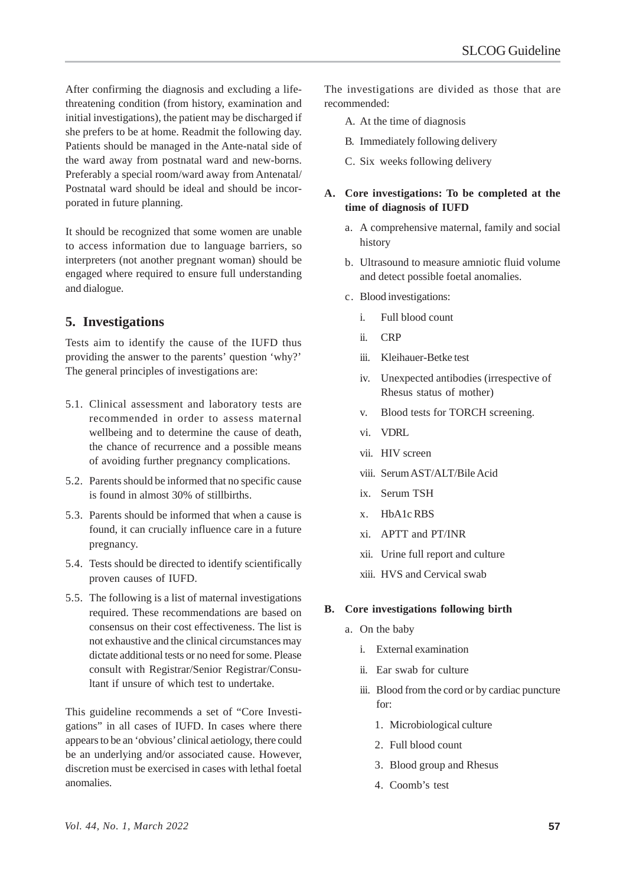After confirming the diagnosis and excluding a lifethreatening condition (from history, examination and initial investigations), the patient may be discharged if she prefers to be at home. Readmit the following day. Patients should be managed in the Ante-natal side of the ward away from postnatal ward and new-borns. Preferably a special room/ward away from Antenatal/ Postnatal ward should be ideal and should be incorporated in future planning.

It should be recognized that some women are unable to access information due to language barriers, so interpreters (not another pregnant woman) should be engaged where required to ensure full understanding and dialogue.

## **5. Investigations**

Tests aim to identify the cause of the IUFD thus providing the answer to the parents' question 'why?' The general principles of investigations are:

- 5.1. Clinical assessment and laboratory tests are recommended in order to assess maternal wellbeing and to determine the cause of death, the chance of recurrence and a possible means of avoiding further pregnancy complications.
- 5.2. Parents should be informed that no specific cause is found in almost 30% of stillbirths.
- 5.3. Parents should be informed that when a cause is found, it can crucially influence care in a future pregnancy.
- 5.4. Tests should be directed to identify scientifically proven causes of IUFD.
- 5.5. The following is a list of maternal investigations required. These recommendations are based on consensus on their cost effectiveness. The list is not exhaustive and the clinical circumstances may dictate additional tests or no need for some. Please consult with Registrar/Senior Registrar/Consultant if unsure of which test to undertake.

This guideline recommends a set of "Core Investigations" in all cases of IUFD. In cases where there appears to be an 'obvious' clinical aetiology, there could be an underlying and/or associated cause. However, discretion must be exercised in cases with lethal foetal anomalies.

The investigations are divided as those that are recommended:

- A. At the time of diagnosis
- B. Immediately following delivery
- C. Six weeks following delivery
- **A. Core investigations: To be completed at the time of diagnosis of IUFD**
	- a. A comprehensive maternal, family and social history
	- b. Ultrasound to measure amniotic fluid volume and detect possible foetal anomalies.
	- c. Blood investigations:
		- i. Full blood count
		- ii. CRP
		- iii. Kleihauer-Betke test
		- iv. Unexpected antibodies (irrespective of Rhesus status of mother)
		- v. Blood tests for TORCH screening.
		- vi. VDRL
		- vii. HIV screen
		- viii. Serum AST/ALT/Bile Acid
		- ix. Serum TSH
		- x. HbA1c RBS
		- xi. APTT and PT/INR
		- xii. Urine full report and culture
		- xiii. HVS and Cervical swab

#### **B. Core investigations following birth**

- a. On the baby
	- i. External examination
	- ii. Ear swab for culture
	- iii. Blood from the cord or by cardiac puncture for:
		- 1. Microbiological culture
		- 2. Full blood count
		- 3. Blood group and Rhesus
		- 4. Coomb's test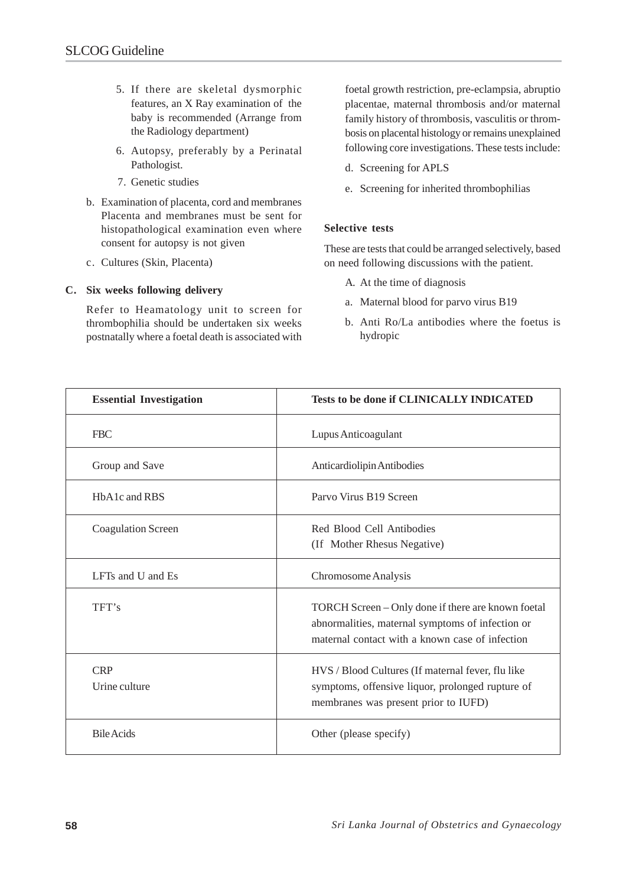- 5. If there are skeletal dysmorphic features, an X Ray examination of the baby is recommended (Arrange from the Radiology department)
- 6. Autopsy, preferably by a Perinatal Pathologist.
- 7. Genetic studies
- b. Examination of placenta, cord and membranes Placenta and membranes must be sent for histopathological examination even where consent for autopsy is not given
- c. Cultures (Skin, Placenta)

#### **C. Six weeks following delivery**

Refer to Heamatology unit to screen for thrombophilia should be undertaken six weeks postnatally where a foetal death is associated with foetal growth restriction, pre-eclampsia, abruptio placentae, maternal thrombosis and/or maternal family history of thrombosis, vasculitis or thrombosis on placental histology or remains unexplained following core investigations. These tests include:

- d. Screening for APLS
- e. Screening for inherited thrombophilias

#### **Selective tests**

These are tests that could be arranged selectively, based on need following discussions with the patient.

- A. At the time of diagnosis
- a. Maternal blood for parvo virus B19
- b. Anti Ro/La antibodies where the foetus is hydropic

| <b>Essential Investigation</b> | <b>Tests to be done if CLINICALLY INDICATED</b>                                                                                                           |
|--------------------------------|-----------------------------------------------------------------------------------------------------------------------------------------------------------|
| <b>FBC</b>                     | Lupus Anticoagulant                                                                                                                                       |
| Group and Save                 | Anticardiolipin Antibodies                                                                                                                                |
| HbA1c and RBS                  | Parvo Virus B19 Screen                                                                                                                                    |
| <b>Coagulation Screen</b>      | Red Blood Cell Antibodies<br>(If Mother Rhesus Negative)                                                                                                  |
| LFTs and U and Es              | Chromosome Analysis                                                                                                                                       |
| TFT's                          | TORCH Screen – Only done if there are known foetal<br>abnormalities, maternal symptoms of infection or<br>maternal contact with a known case of infection |
| <b>CRP</b><br>Urine culture    | HVS / Blood Cultures (If maternal fever, flu like<br>symptoms, offensive liquor, prolonged rupture of<br>membranes was present prior to IUFD)             |
| <b>Bile</b> Acids              | Other (please specify)                                                                                                                                    |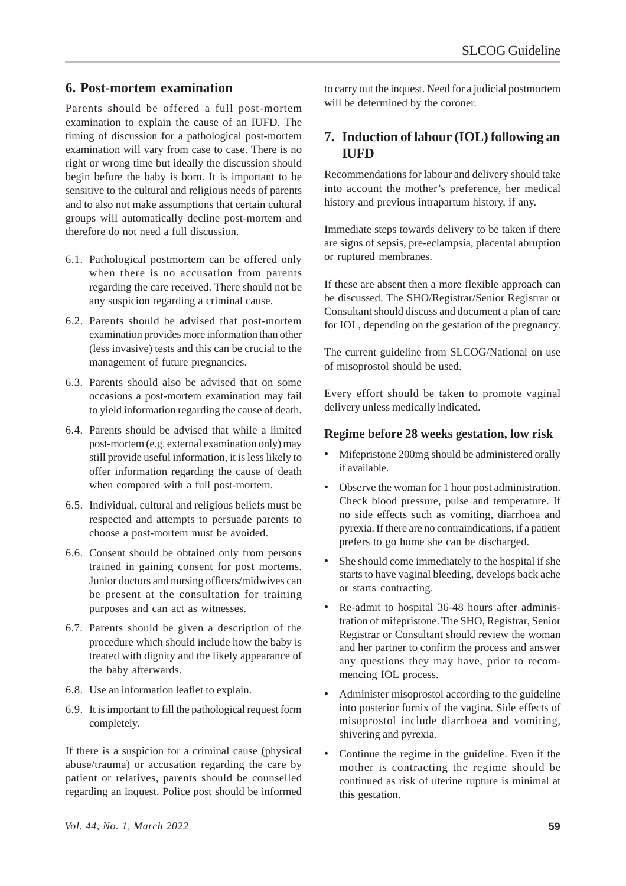## **6. Post-mortem examination**

Parents should be offered a full post-mortem examination to explain the cause of an IUFD. The timing of discussion for a pathological post-mortem examination will vary from case to case. There is no right or wrong time but ideally the discussion should begin before the baby is born. It is important to be sensitive to the cultural and religious needs of parents and to also not make assumptions that certain cultural groups will automatically decline post-mortem and therefore do not need a full discussion.

- 6.1. Pathological postmortem can be offered only when there is no accusation from parents regarding the care received. There should not be any suspicion regarding a criminal cause.
- 6.2. Parents should be advised that post-mortem examination provides more information than other (less invasive) tests and this can be crucial to the management of future pregnancies.
- 6.3. Parents should also be advised that on some occasions a post-mortem examination may fail to yield information regarding the cause of death.
- 6.4. Parents should be advised that while a limited post-mortem (e.g. external examination only) may still provide useful information, it is less likely to offer information regarding the cause of death when compared with a full post-mortem.
- 6.5. Individual, cultural and religious beliefs must be respected and attempts to persuade parents to choose a post-mortem must be avoided.
- 6.6. Consent should be obtained only from persons trained in gaining consent for post mortems. Junior doctors and nursing officers/midwives can be present at the consultation for training purposes and can act as witnesses.
- 6.7. Parents should be given a description of the procedure which should include how the baby is treated with dignity and the likely appearance of the baby afterwards.
- 6.8. Use an information leaflet to explain.
- 6.9. It is important to fill the pathological request form completely.

If there is a suspicion for a criminal cause (physical abuse/trauma) or accusation regarding the care by patient or relatives, parents should be counselled regarding an inquest. Police post should be informed to carry out the inquest. Need for a judicial postmortem will be determined by the coroner.

## **7. Induction of labour (IOL) following an IUFD**

Recommendations for labour and delivery should take into account the mother's preference, her medical history and previous intrapartum history, if any.

Immediate steps towards delivery to be taken if there are signs of sepsis, pre-eclampsia, placental abruption or ruptured membranes.

If these are absent then a more flexible approach can be discussed. The SHO/Registrar/Senior Registrar or Consultant should discuss and document a plan of care for IOL, depending on the gestation of the pregnancy.

The current guideline from SLCOG/National on use of misoprostol should be used.

Every effort should be taken to promote vaginal delivery unless medically indicated.

#### **Regime before 28 weeks gestation, low risk**

- Mifepristone 200mg should be administered orally if available.
- Observe the woman for 1 hour post administration. Check blood pressure, pulse and temperature. If no side effects such as vomiting, diarrhoea and pyrexia. If there are no contraindications, if a patient prefers to go home she can be discharged.
- She should come immediately to the hospital if she starts to have vaginal bleeding, develops back ache or starts contracting.
- Re-admit to hospital 36-48 hours after administration of mifepristone. The SHO, Registrar, Senior Registrar or Consultant should review the woman and her partner to confirm the process and answer any questions they may have, prior to recommencing IOL process.
- Administer misoprostol according to the guideline into posterior fornix of the vagina. Side effects of misoprostol include diarrhoea and vomiting, shivering and pyrexia.
- Continue the regime in the guideline. Even if the mother is contracting the regime should be continued as risk of uterine rupture is minimal at this gestation.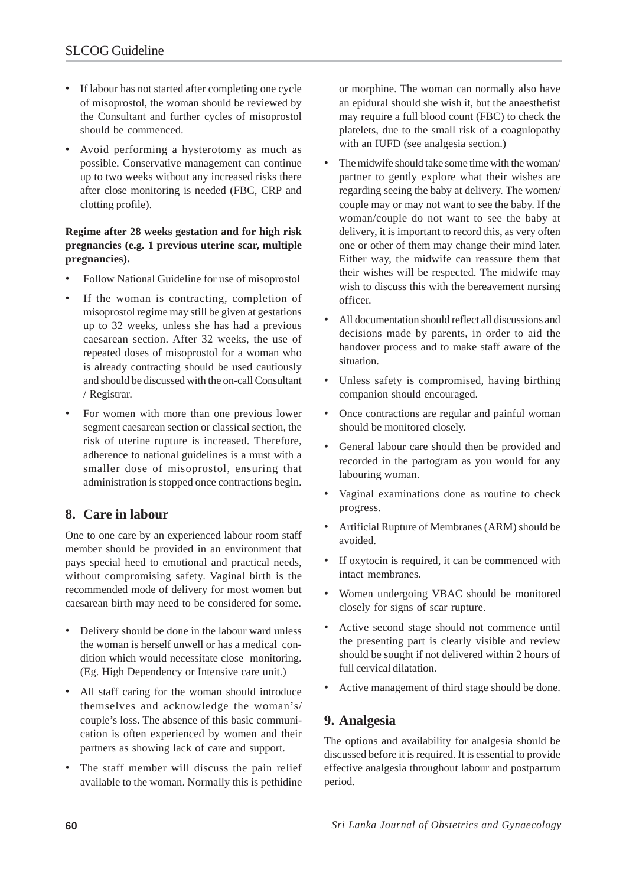- If labour has not started after completing one cycle of misoprostol, the woman should be reviewed by the Consultant and further cycles of misoprostol should be commenced.
- Avoid performing a hysterotomy as much as possible. Conservative management can continue up to two weeks without any increased risks there after close monitoring is needed (FBC, CRP and clotting profile).

#### **Regime after 28 weeks gestation and for high risk pregnancies (e.g. 1 previous uterine scar, multiple pregnancies).**

- Follow National Guideline for use of misoprostol
- If the woman is contracting, completion of misoprostol regime may still be given at gestations up to 32 weeks, unless she has had a previous caesarean section. After 32 weeks, the use of repeated doses of misoprostol for a woman who is already contracting should be used cautiously and should be discussed with the on-call Consultant / Registrar.
- For women with more than one previous lower segment caesarean section or classical section, the risk of uterine rupture is increased. Therefore, adherence to national guidelines is a must with a smaller dose of misoprostol, ensuring that administration is stopped once contractions begin.

## **8. Care in labour**

One to one care by an experienced labour room staff member should be provided in an environment that pays special heed to emotional and practical needs, without compromising safety. Vaginal birth is the recommended mode of delivery for most women but caesarean birth may need to be considered for some.

- Delivery should be done in the labour ward unless the woman is herself unwell or has a medical condition which would necessitate close monitoring. (Eg. High Dependency or Intensive care unit.)
- All staff caring for the woman should introduce themselves and acknowledge the woman's/ couple's loss. The absence of this basic communication is often experienced by women and their partners as showing lack of care and support.
- The staff member will discuss the pain relief available to the woman. Normally this is pethidine

or morphine. The woman can normally also have an epidural should she wish it, but the anaesthetist may require a full blood count (FBC) to check the platelets, due to the small risk of a coagulopathy with an IUFD (see analgesia section.)

- The midwife should take some time with the woman/ partner to gently explore what their wishes are regarding seeing the baby at delivery. The women/ couple may or may not want to see the baby. If the woman/couple do not want to see the baby at delivery, it is important to record this, as very often one or other of them may change their mind later. Either way, the midwife can reassure them that their wishes will be respected. The midwife may wish to discuss this with the bereavement nursing officer.
- All documentation should reflect all discussions and decisions made by parents, in order to aid the handover process and to make staff aware of the situation.
- Unless safety is compromised, having birthing companion should encouraged.
- Once contractions are regular and painful woman should be monitored closely.
- General labour care should then be provided and recorded in the partogram as you would for any labouring woman.
- Vaginal examinations done as routine to check progress.
- Artificial Rupture of Membranes (ARM) should be avoided.
- If oxytocin is required, it can be commenced with intact membranes.
- Women undergoing VBAC should be monitored closely for signs of scar rupture.
- Active second stage should not commence until the presenting part is clearly visible and review should be sought if not delivered within 2 hours of full cervical dilatation.
- Active management of third stage should be done.

## **9. Analgesia**

The options and availability for analgesia should be discussed before it is required. It is essential to provide effective analgesia throughout labour and postpartum period.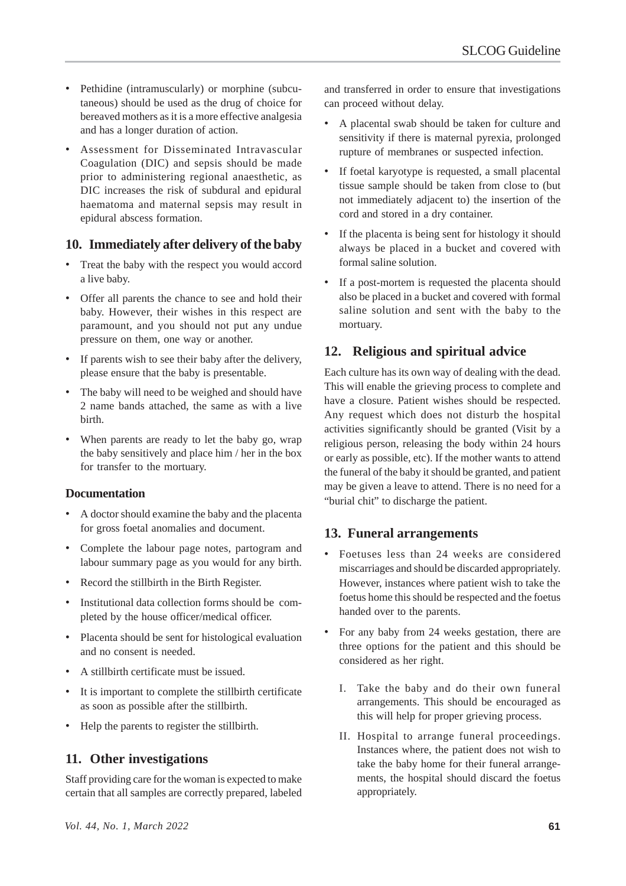- Pethidine (intramuscularly) or morphine (subcutaneous) should be used as the drug of choice for bereaved mothers as it is a more effective analgesia and has a longer duration of action.
- Assessment for Disseminated Intravascular Coagulation (DIC) and sepsis should be made prior to administering regional anaesthetic, as DIC increases the risk of subdural and epidural haematoma and maternal sepsis may result in epidural abscess formation.

## **10. Immediately after delivery of the baby**

- Treat the baby with the respect you would accord a live baby.
- Offer all parents the chance to see and hold their baby. However, their wishes in this respect are paramount, and you should not put any undue pressure on them, one way or another.
- If parents wish to see their baby after the delivery, please ensure that the baby is presentable.
- The baby will need to be weighed and should have 2 name bands attached, the same as with a live birth.
- When parents are ready to let the baby go, wrap the baby sensitively and place him / her in the box for transfer to the mortuary.

#### **Documentation**

- A doctor should examine the baby and the placenta for gross foetal anomalies and document.
- Complete the labour page notes, partogram and labour summary page as you would for any birth.
- Record the stillbirth in the Birth Register.
- Institutional data collection forms should be completed by the house officer/medical officer.
- Placenta should be sent for histological evaluation and no consent is needed.
- A stillbirth certificate must be issued.
- It is important to complete the stillbirth certificate as soon as possible after the stillbirth.
- Help the parents to register the stillbirth.

## **11. Other investigations**

Staff providing care for the woman is expected to make certain that all samples are correctly prepared, labeled and transferred in order to ensure that investigations can proceed without delay.

- A placental swab should be taken for culture and sensitivity if there is maternal pyrexia, prolonged rupture of membranes or suspected infection.
- If foetal karyotype is requested, a small placental tissue sample should be taken from close to (but not immediately adjacent to) the insertion of the cord and stored in a dry container.
- If the placenta is being sent for histology it should always be placed in a bucket and covered with formal saline solution.
- If a post-mortem is requested the placenta should also be placed in a bucket and covered with formal saline solution and sent with the baby to the mortuary.

## **12. Religious and spiritual advice**

Each culture has its own way of dealing with the dead. This will enable the grieving process to complete and have a closure. Patient wishes should be respected. Any request which does not disturb the hospital activities significantly should be granted (Visit by a religious person, releasing the body within 24 hours or early as possible, etc). If the mother wants to attend the funeral of the baby it should be granted, and patient may be given a leave to attend. There is no need for a "burial chit" to discharge the patient.

## **13. Funeral arrangements**

- Foetuses less than 24 weeks are considered miscarriages and should be discarded appropriately. However, instances where patient wish to take the foetus home this should be respected and the foetus handed over to the parents.
- For any baby from 24 weeks gestation, there are three options for the patient and this should be considered as her right.
	- I. Take the baby and do their own funeral arrangements. This should be encouraged as this will help for proper grieving process.
	- II. Hospital to arrange funeral proceedings. Instances where, the patient does not wish to take the baby home for their funeral arrangements, the hospital should discard the foetus appropriately.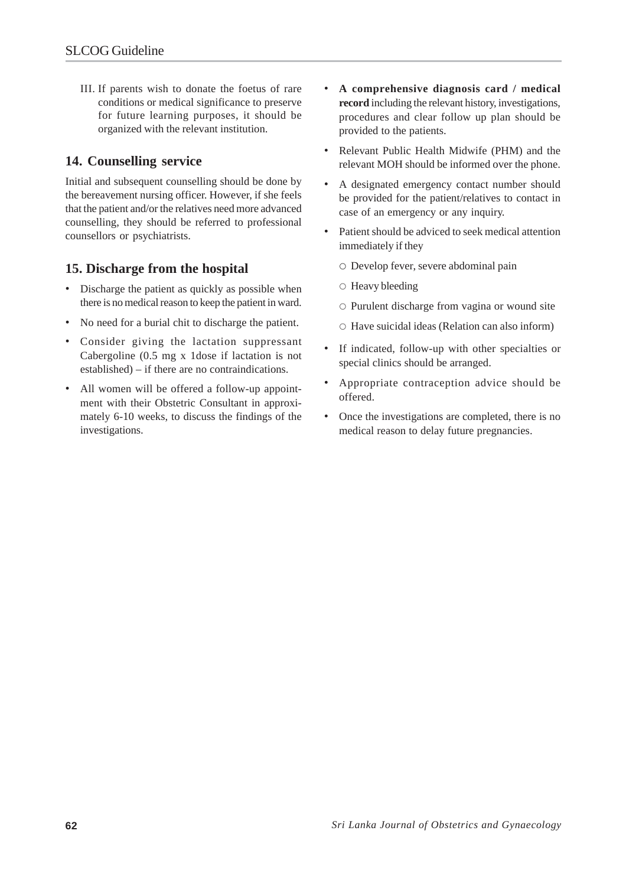III. If parents wish to donate the foetus of rare conditions or medical significance to preserve for future learning purposes, it should be organized with the relevant institution.

## **14. Counselling service**

Initial and subsequent counselling should be done by the bereavement nursing officer. However, if she feels that the patient and/or the relatives need more advanced counselling, they should be referred to professional counsellors or psychiatrists.

## **15. Discharge from the hospital**

- Discharge the patient as quickly as possible when there is no medical reason to keep the patient in ward.
- No need for a burial chit to discharge the patient.
- Consider giving the lactation suppressant Cabergoline (0.5 mg x 1dose if lactation is not established) – if there are no contraindications.
- All women will be offered a follow-up appointment with their Obstetric Consultant in approximately 6-10 weeks, to discuss the findings of the investigations.
- **A comprehensive diagnosis card / medical record** including the relevant history, investigations, procedures and clear follow up plan should be provided to the patients.
- Relevant Public Health Midwife (PHM) and the relevant MOH should be informed over the phone.
- A designated emergency contact number should be provided for the patient/relatives to contact in case of an emergency or any inquiry.
- Patient should be adviced to seek medical attention immediately if they
	- Develop fever, severe abdominal pain
	- Heavy bleeding
	- Purulent discharge from vagina or wound site
	- Have suicidal ideas (Relation can also inform)
- If indicated, follow-up with other specialties or special clinics should be arranged.
- Appropriate contraception advice should be offered.
- Once the investigations are completed, there is no medical reason to delay future pregnancies.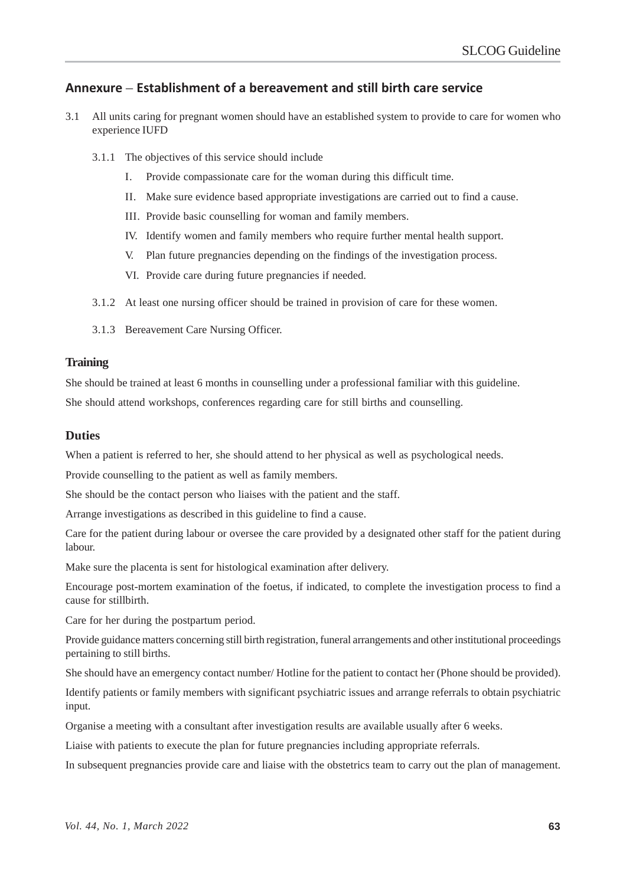## **Annexure** – **Establishment of a bereavement and still birth care service**

- 3.1 All units caring for pregnant women should have an established system to provide to care for women who experience IUFD
	- 3.1.1 The objectives of this service should include
		- I. Provide compassionate care for the woman during this difficult time.
		- II. Make sure evidence based appropriate investigations are carried out to find a cause.
		- III. Provide basic counselling for woman and family members.
		- IV. Identify women and family members who require further mental health support.
		- V. Plan future pregnancies depending on the findings of the investigation process.
		- VI. Provide care during future pregnancies if needed.
	- 3.1.2 At least one nursing officer should be trained in provision of care for these women.
	- 3.1.3 Bereavement Care Nursing Officer.

#### **Training**

She should be trained at least 6 months in counselling under a professional familiar with this guideline. She should attend workshops, conferences regarding care for still births and counselling.

#### **Duties**

When a patient is referred to her, she should attend to her physical as well as psychological needs.

Provide counselling to the patient as well as family members.

She should be the contact person who liaises with the patient and the staff.

Arrange investigations as described in this guideline to find a cause.

Care for the patient during labour or oversee the care provided by a designated other staff for the patient during labour.

Make sure the placenta is sent for histological examination after delivery.

Encourage post-mortem examination of the foetus, if indicated, to complete the investigation process to find a cause for stillbirth.

Care for her during the postpartum period.

Provide guidance matters concerning still birth registration, funeral arrangements and other institutional proceedings pertaining to still births.

She should have an emergency contact number/ Hotline for the patient to contact her (Phone should be provided).

Identify patients or family members with significant psychiatric issues and arrange referrals to obtain psychiatric input.

Organise a meeting with a consultant after investigation results are available usually after 6 weeks.

Liaise with patients to execute the plan for future pregnancies including appropriate referrals.

In subsequent pregnancies provide care and liaise with the obstetrics team to carry out the plan of management.